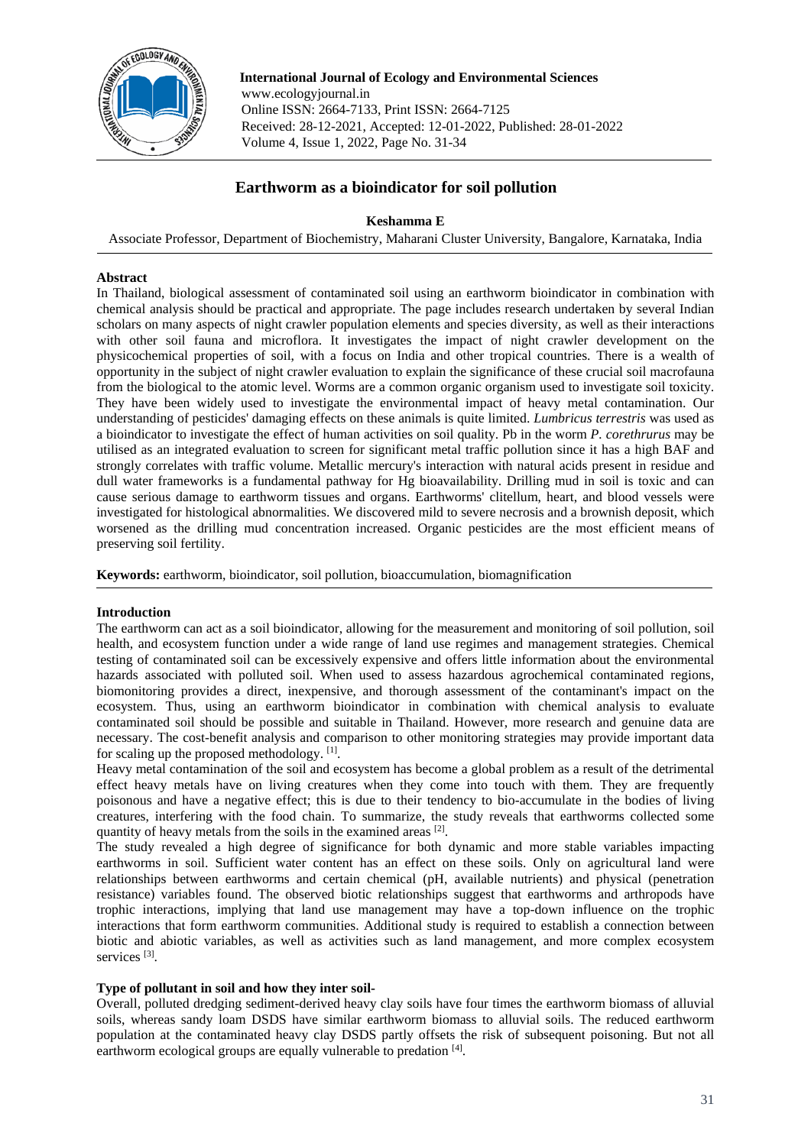

 **International Journal of Ecology and Environmental Sciences** www.ecologyjournal.in Online ISSN: 2664-7133, Print ISSN: 2664-7125 Received: 28-12-2021, Accepted: 12-01-2022, Published: 28-01-2022 Volume 4, Issue 1, 2022, Page No. 31-34

# **Earthworm as a bioindicator for soil pollution**

# **Keshamma E**

Associate Professor, Department of Biochemistry, Maharani Cluster University, Bangalore, Karnataka, India

# **Abstract**

In Thailand, biological assessment of contaminated soil using an earthworm bioindicator in combination with chemical analysis should be practical and appropriate. The page includes research undertaken by several Indian scholars on many aspects of night crawler population elements and species diversity, as well as their interactions with other soil fauna and microflora. It investigates the impact of night crawler development on the physicochemical properties of soil, with a focus on India and other tropical countries. There is a wealth of opportunity in the subject of night crawler evaluation to explain the significance of these crucial soil macrofauna from the biological to the atomic level. Worms are a common organic organism used to investigate soil toxicity. They have been widely used to investigate the environmental impact of heavy metal contamination. Our understanding of pesticides' damaging effects on these animals is quite limited. *Lumbricus terrestris* was used as a bioindicator to investigate the effect of human activities on soil quality. Pb in the worm *P. corethrurus* may be utilised as an integrated evaluation to screen for significant metal traffic pollution since it has a high BAF and strongly correlates with traffic volume. Metallic mercury's interaction with natural acids present in residue and dull water frameworks is a fundamental pathway for Hg bioavailability. Drilling mud in soil is toxic and can cause serious damage to earthworm tissues and organs. Earthworms' clitellum, heart, and blood vessels were investigated for histological abnormalities. We discovered mild to severe necrosis and a brownish deposit, which worsened as the drilling mud concentration increased. Organic pesticides are the most efficient means of preserving soil fertility.

**Keywords:** earthworm, bioindicator, soil pollution, bioaccumulation, biomagnification

#### **Introduction**

The earthworm can act as a soil bioindicator, allowing for the measurement and monitoring of soil pollution, soil health, and ecosystem function under a wide range of land use regimes and management strategies. Chemical testing of contaminated soil can be excessively expensive and offers little information about the environmental hazards associated with polluted soil. When used to assess hazardous agrochemical contaminated regions, biomonitoring provides a direct, inexpensive, and thorough assessment of the contaminant's impact on the ecosystem. Thus, using an earthworm bioindicator in combination with chemical analysis to evaluate contaminated soil should be possible and suitable in Thailand. However, more research and genuine data are necessary. The cost-benefit analysis and comparison to other monitoring strategies may provide important data for scaling up the proposed methodology. [1].

Heavy metal contamination of the soil and ecosystem has become a global problem as a result of the detrimental effect heavy metals have on living creatures when they come into touch with them. They are frequently poisonous and have a negative effect; this is due to their tendency to bio-accumulate in the bodies of living creatures, interfering with the food chain. To summarize, the study reveals that earthworms collected some quantity of heavy metals from the soils in the examined areas [2].

The study revealed a high degree of significance for both dynamic and more stable variables impacting earthworms in soil. Sufficient water content has an effect on these soils. Only on agricultural land were relationships between earthworms and certain chemical (pH, available nutrients) and physical (penetration resistance) variables found. The observed biotic relationships suggest that earthworms and arthropods have trophic interactions, implying that land use management may have a top-down influence on the trophic interactions that form earthworm communities. Additional study is required to establish a connection between biotic and abiotic variables, as well as activities such as land management, and more complex ecosystem services [3].

# **Type of pollutant in soil and how they inter soil-**

Overall, polluted dredging sediment-derived heavy clay soils have four times the earthworm biomass of alluvial soils, whereas sandy loam DSDS have similar earthworm biomass to alluvial soils. The reduced earthworm population at the contaminated heavy clay DSDS partly offsets the risk of subsequent poisoning. But not all earthworm ecological groups are equally vulnerable to predation [4].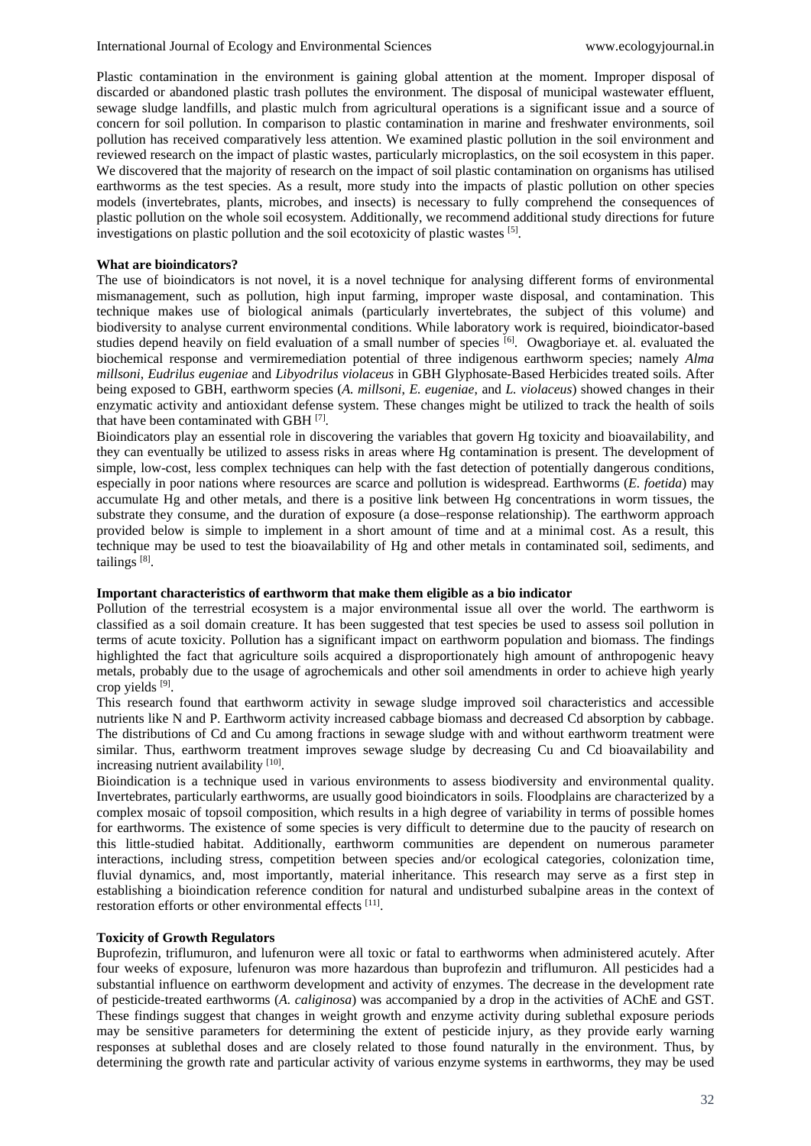Plastic contamination in the environment is gaining global attention at the moment. Improper disposal of discarded or abandoned plastic trash pollutes the environment. The disposal of municipal wastewater effluent, sewage sludge landfills, and plastic mulch from agricultural operations is a significant issue and a source of concern for soil pollution. In comparison to plastic contamination in marine and freshwater environments, soil pollution has received comparatively less attention. We examined plastic pollution in the soil environment and reviewed research on the impact of plastic wastes, particularly microplastics, on the soil ecosystem in this paper. We discovered that the majority of research on the impact of soil plastic contamination on organisms has utilised earthworms as the test species. As a result, more study into the impacts of plastic pollution on other species models (invertebrates, plants, microbes, and insects) is necessary to fully comprehend the consequences of plastic pollution on the whole soil ecosystem. Additionally, we recommend additional study directions for future investigations on plastic pollution and the soil ecotoxicity of plastic wastes [5].

# **What are bioindicators?**

The use of bioindicators is not novel, it is a novel technique for analysing different forms of environmental mismanagement, such as pollution, high input farming, improper waste disposal, and contamination. This technique makes use of biological animals (particularly invertebrates, the subject of this volume) and biodiversity to analyse current environmental conditions. While laboratory work is required, bioindicator-based studies depend heavily on field evaluation of a small number of species <sup>[6]</sup>. Owagboriaye et. al. evaluated the biochemical response and vermiremediation potential of three indigenous earthworm species; namely *Alma millsoni*, *Eudrilus eugeniae* and *Libyodrilus violaceus* in GBH Glyphosate-Based Herbicides treated soils. After being exposed to GBH, earthworm species (*A. millsoni*, *E. eugeniae*, and *L. violaceus*) showed changes in their enzymatic activity and antioxidant defense system. These changes might be utilized to track the health of soils that have been contaminated with GBH [7].

Bioindicators play an essential role in discovering the variables that govern Hg toxicity and bioavailability, and they can eventually be utilized to assess risks in areas where Hg contamination is present. The development of simple, low-cost, less complex techniques can help with the fast detection of potentially dangerous conditions, especially in poor nations where resources are scarce and pollution is widespread. Earthworms (*E. foetida*) may accumulate Hg and other metals, and there is a positive link between Hg concentrations in worm tissues, the substrate they consume, and the duration of exposure (a dose–response relationship). The earthworm approach provided below is simple to implement in a short amount of time and at a minimal cost. As a result, this technique may be used to test the bioavailability of Hg and other metals in contaminated soil, sediments, and tailings [8].

# **Important characteristics of earthworm that make them eligible as a bio indicator**

Pollution of the terrestrial ecosystem is a major environmental issue all over the world. The earthworm is classified as a soil domain creature. It has been suggested that test species be used to assess soil pollution in terms of acute toxicity. Pollution has a significant impact on earthworm population and biomass. The findings highlighted the fact that agriculture soils acquired a disproportionately high amount of anthropogenic heavy metals, probably due to the usage of agrochemicals and other soil amendments in order to achieve high yearly crop yields [9].

This research found that earthworm activity in sewage sludge improved soil characteristics and accessible nutrients like N and P. Earthworm activity increased cabbage biomass and decreased Cd absorption by cabbage. The distributions of Cd and Cu among fractions in sewage sludge with and without earthworm treatment were similar. Thus, earthworm treatment improves sewage sludge by decreasing Cu and Cd bioavailability and increasing nutrient availability [10].

Bioindication is a technique used in various environments to assess biodiversity and environmental quality. Invertebrates, particularly earthworms, are usually good bioindicators in soils. Floodplains are characterized by a complex mosaic of topsoil composition, which results in a high degree of variability in terms of possible homes for earthworms. The existence of some species is very difficult to determine due to the paucity of research on this little-studied habitat. Additionally, earthworm communities are dependent on numerous parameter interactions, including stress, competition between species and/or ecological categories, colonization time, fluvial dynamics, and, most importantly, material inheritance. This research may serve as a first step in establishing a bioindication reference condition for natural and undisturbed subalpine areas in the context of restoration efforts or other environmental effects <sup>[11]</sup>.

# **Toxicity of Growth Regulators**

Buprofezin, triflumuron, and lufenuron were all toxic or fatal to earthworms when administered acutely. After four weeks of exposure, lufenuron was more hazardous than buprofezin and triflumuron. All pesticides had a substantial influence on earthworm development and activity of enzymes. The decrease in the development rate of pesticide-treated earthworms (*A. caliginosa*) was accompanied by a drop in the activities of AChE and GST. These findings suggest that changes in weight growth and enzyme activity during sublethal exposure periods may be sensitive parameters for determining the extent of pesticide injury, as they provide early warning responses at sublethal doses and are closely related to those found naturally in the environment. Thus, by determining the growth rate and particular activity of various enzyme systems in earthworms, they may be used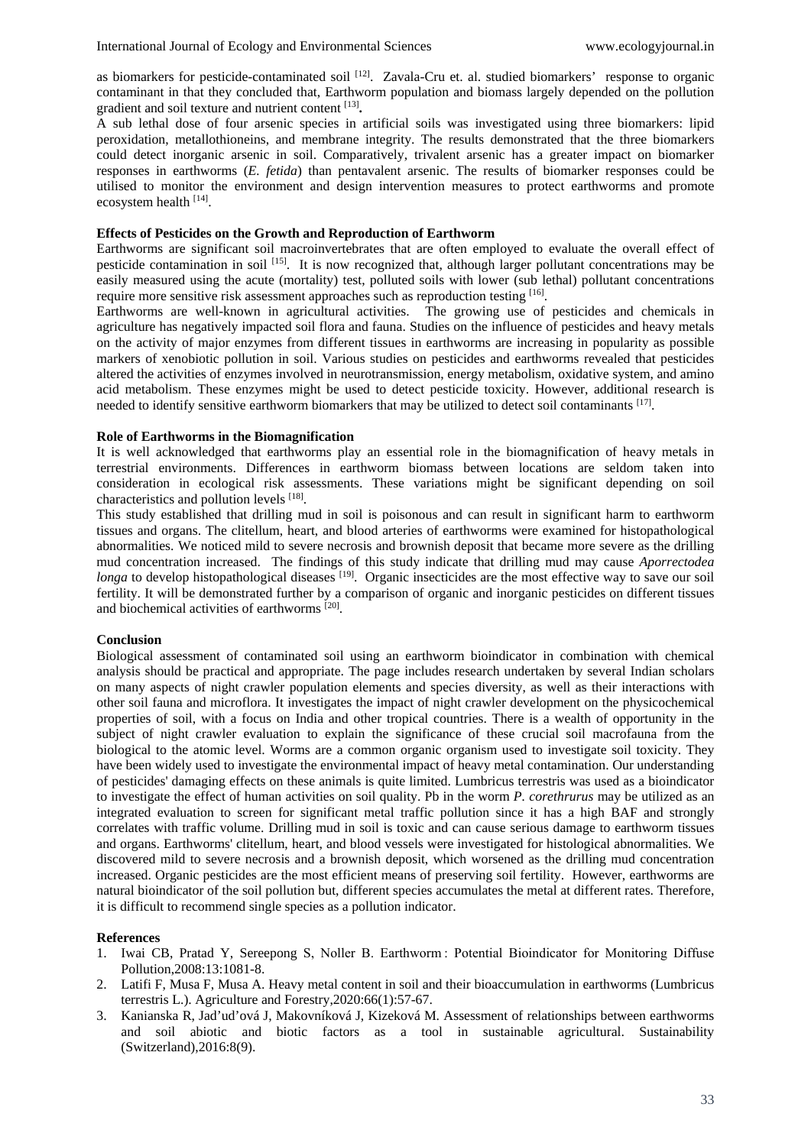as biomarkers for pesticide-contaminated soil <sup>[12]</sup>. Zavala-Cru et. al. studied biomarkers' response to organic contaminant in that they concluded that, Earthworm population and biomass largely depended on the pollution gradient and soil texture and nutrient content [13]**.**

A sub lethal dose of four arsenic species in artificial soils was investigated using three biomarkers: lipid peroxidation, metallothioneins, and membrane integrity. The results demonstrated that the three biomarkers could detect inorganic arsenic in soil. Comparatively, trivalent arsenic has a greater impact on biomarker responses in earthworms (*E. fetida*) than pentavalent arsenic. The results of biomarker responses could be utilised to monitor the environment and design intervention measures to protect earthworms and promote ecosystem health [14].

# **Effects of Pesticides on the Growth and Reproduction of Earthworm**

Earthworms are significant soil macroinvertebrates that are often employed to evaluate the overall effect of pesticide contamination in soil [15]. It is now recognized that, although larger pollutant concentrations may be easily measured using the acute (mortality) test, polluted soils with lower (sub lethal) pollutant concentrations require more sensitive risk assessment approaches such as reproduction testing [16].

Earthworms are well-known in agricultural activities. The growing use of pesticides and chemicals in agriculture has negatively impacted soil flora and fauna. Studies on the influence of pesticides and heavy metals on the activity of major enzymes from different tissues in earthworms are increasing in popularity as possible markers of xenobiotic pollution in soil. Various studies on pesticides and earthworms revealed that pesticides altered the activities of enzymes involved in neurotransmission, energy metabolism, oxidative system, and amino acid metabolism. These enzymes might be used to detect pesticide toxicity. However, additional research is needed to identify sensitive earthworm biomarkers that may be utilized to detect soil contaminants [17].

#### **Role of Earthworms in the Biomagnification**

It is well acknowledged that earthworms play an essential role in the biomagnification of heavy metals in terrestrial environments. Differences in earthworm biomass between locations are seldom taken into consideration in ecological risk assessments. These variations might be significant depending on soil characteristics and pollution levels [18].

This study established that drilling mud in soil is poisonous and can result in significant harm to earthworm tissues and organs. The clitellum, heart, and blood arteries of earthworms were examined for histopathological abnormalities. We noticed mild to severe necrosis and brownish deposit that became more severe as the drilling mud concentration increased. The findings of this study indicate that drilling mud may cause *Aporrectodea longa* to develop histopathological diseases <sup>[19]</sup>. Organic insecticides are the most effective way to save our soil fertility. It will be demonstrated further by a comparison of organic and inorganic pesticides on different tissues and biochemical activities of earthworms [20].

#### **Conclusion**

Biological assessment of contaminated soil using an earthworm bioindicator in combination with chemical analysis should be practical and appropriate. The page includes research undertaken by several Indian scholars on many aspects of night crawler population elements and species diversity, as well as their interactions with other soil fauna and microflora. It investigates the impact of night crawler development on the physicochemical properties of soil, with a focus on India and other tropical countries. There is a wealth of opportunity in the subject of night crawler evaluation to explain the significance of these crucial soil macrofauna from the biological to the atomic level. Worms are a common organic organism used to investigate soil toxicity. They have been widely used to investigate the environmental impact of heavy metal contamination. Our understanding of pesticides' damaging effects on these animals is quite limited. Lumbricus terrestris was used as a bioindicator to investigate the effect of human activities on soil quality. Pb in the worm *P. corethrurus* may be utilized as an integrated evaluation to screen for significant metal traffic pollution since it has a high BAF and strongly correlates with traffic volume. Drilling mud in soil is toxic and can cause serious damage to earthworm tissues and organs. Earthworms' clitellum, heart, and blood vessels were investigated for histological abnormalities. We discovered mild to severe necrosis and a brownish deposit, which worsened as the drilling mud concentration increased. Organic pesticides are the most efficient means of preserving soil fertility.However, earthworms are natural bioindicator of the soil pollution but, different species accumulates the metal at different rates. Therefore, it is difficult to recommend single species as a pollution indicator.

#### **References**

- 1. Iwai CB, Pratad Y, Sereepong S, Noller B. Earthworm : Potential Bioindicator for Monitoring Diffuse Pollution,2008:13:1081-8.
- 2. Latifi F, Musa F, Musa A. Heavy metal content in soil and their bioaccumulation in earthworms (Lumbricus terrestris L.). Agriculture and Forestry,2020:66(1):57-67.
- 3. Kanianska R, Jad'ud'ová J, Makovníková J, Kizeková M. Assessment of relationships between earthworms and soil abiotic and biotic factors as a tool in sustainable agricultural. Sustainability (Switzerland),2016:8(9).